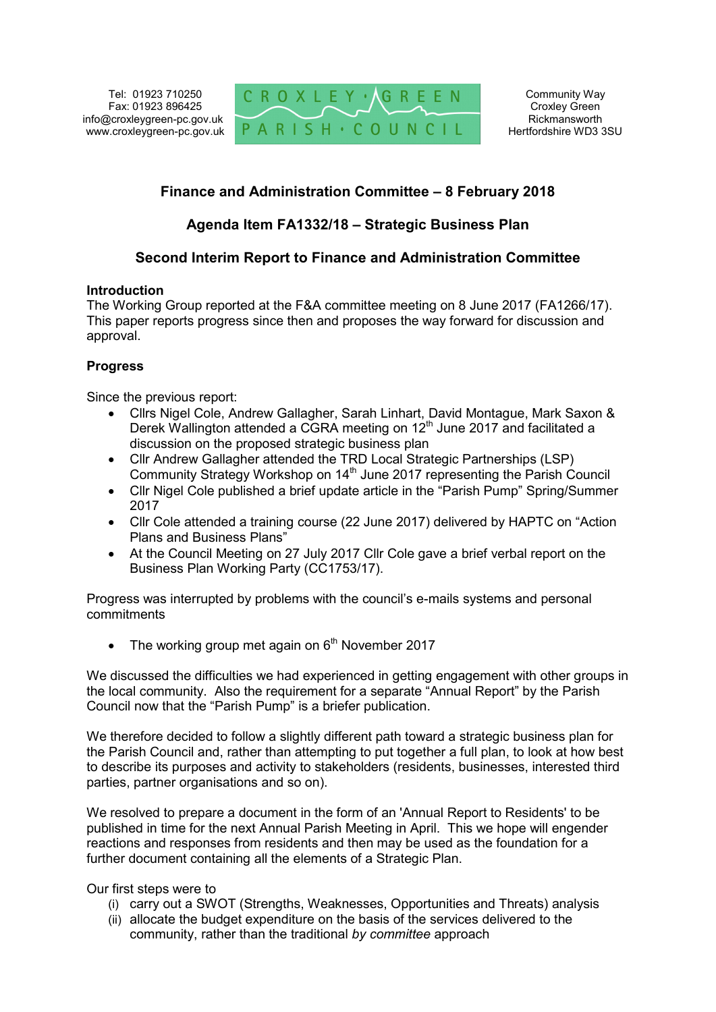Tel: 01923 710250 Fax: 01923 896425 info@croxleygreen-pc.gov.uk www.croxleygreen-pc.gov.uk



Community Way Croxley Green Rickmansworth Hertfordshire WD3 3SU

# **Finance and Administration Committee – 8 February 2018**

## **Agenda Item FA1332/18 – Strategic Business Plan**

## **Second Interim Report to Finance and Administration Committee**

#### **Introduction**

The Working Group reported at the F&A committee meeting on 8 June 2017 (FA1266/17). This paper reports progress since then and proposes the way forward for discussion and approval.

### **Progress**

Since the previous report:

- Cllrs Nigel Cole, Andrew Gallagher, Sarah Linhart, David Montague, Mark Saxon & Derek Wallington attended a CGRA meeting on 12<sup>th</sup> June 2017 and facilitated a discussion on the proposed strategic business plan
- Cllr Andrew Gallagher attended the TRD Local Strategic Partnerships (LSP) Community Strategy Workshop on 14<sup>th</sup> June 2017 representing the Parish Council
- Cllr Nigel Cole published a brief update article in the "Parish Pump" Spring/Summer 2017
- Cllr Cole attended a training course (22 June 2017) delivered by HAPTC on "Action Plans and Business Plans"
- At the Council Meeting on 27 July 2017 Cllr Cole gave a brief verbal report on the Business Plan Working Party (CC1753/17).

Progress was interrupted by problems with the council's e-mails systems and personal commitments

• The working group met again on  $6<sup>th</sup>$  November 2017

We discussed the difficulties we had experienced in getting engagement with other groups in the local community. Also the requirement for a separate "Annual Report" by the Parish Council now that the "Parish Pump" is a briefer publication.

We therefore decided to follow a slightly different path toward a strategic business plan for the Parish Council and, rather than attempting to put together a full plan, to look at how best to describe its purposes and activity to stakeholders (residents, businesses, interested third parties, partner organisations and so on).

We resolved to prepare a document in the form of an 'Annual Report to Residents' to be published in time for the next Annual Parish Meeting in April. This we hope will engender reactions and responses from residents and then may be used as the foundation for a further document containing all the elements of a Strategic Plan.

#### Our first steps were to

- (i) carry out a SWOT (Strengths, Weaknesses, Opportunities and Threats) analysis
- (ii) allocate the budget expenditure on the basis of the services delivered to the community, rather than the traditional *by committee* approach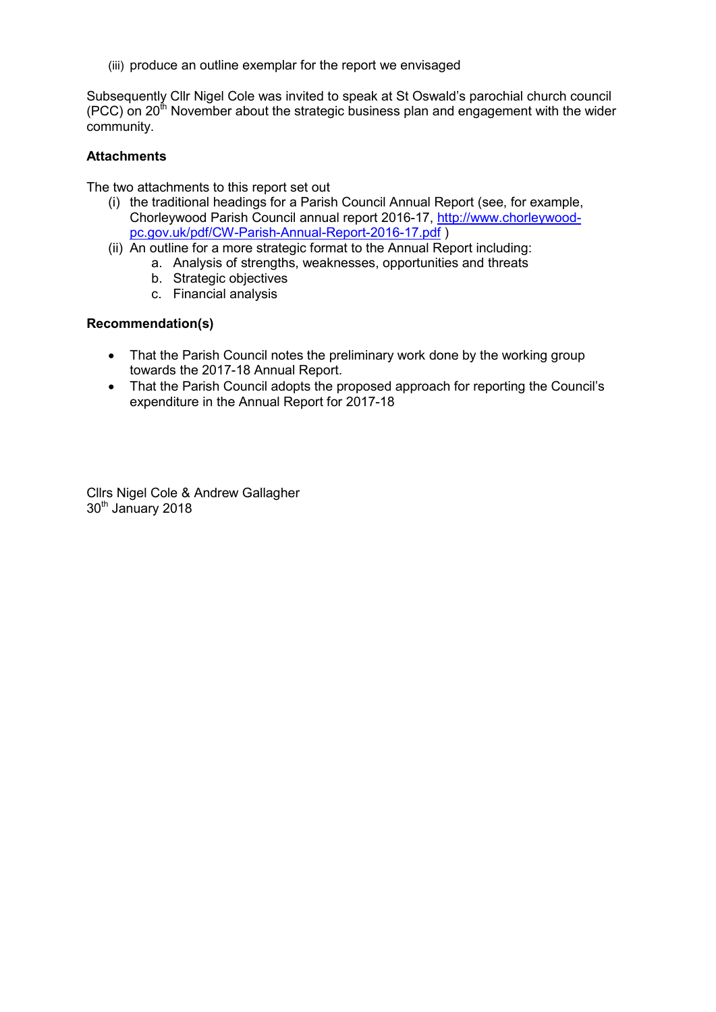(iii) produce an outline exemplar for the report we envisaged

Subsequently Cllr Nigel Cole was invited to speak at St Oswald's parochial church council (PCC) on  $20<sup>th</sup>$  November about the strategic business plan and engagement with the wider community.

#### **Attachments**

The two attachments to this report set out

- (i) the traditional headings for a Parish Council Annual Report (see, for example, Chorleywood Parish Council annual report 2016-17, http://www.chorleywoodpc.gov.uk/pdf/CW-Parish-Annual-Report-2016-17.pdf )
- (ii) An outline for a more strategic format to the Annual Report including:
	- a. Analysis of strengths, weaknesses, opportunities and threats
		- b. Strategic objectives
		- c. Financial analysis

#### **Recommendation(s)**

- That the Parish Council notes the preliminary work done by the working group towards the 2017-18 Annual Report.
- That the Parish Council adopts the proposed approach for reporting the Council's expenditure in the Annual Report for 2017-18

Cllrs Nigel Cole & Andrew Gallagher 30th January 2018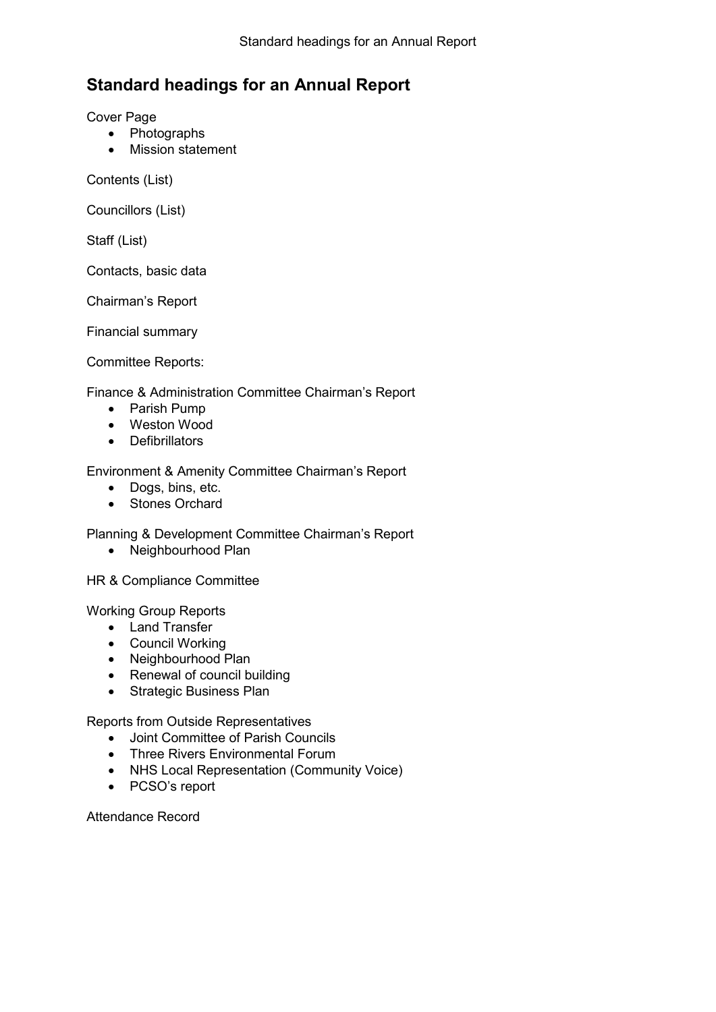# **Standard headings for an Annual Report**

Cover Page

- Photographs
- Mission statement

Contents (List)

Councillors (List)

Staff (List)

Contacts, basic data

Chairman's Report

Financial summary

Committee Reports:

Finance & Administration Committee Chairman's Report

- Parish Pump
- Weston Wood
- Defibrillators

Environment & Amenity Committee Chairman's Report

- Dogs, bins, etc.
- Stones Orchard

Planning & Development Committee Chairman's Report

• Neighbourhood Plan

HR & Compliance Committee

Working Group Reports

- Land Transfer
- Council Working
- Neighbourhood Plan
- Renewal of council building
- Strategic Business Plan

Reports from Outside Representatives

- Joint Committee of Parish Councils
- Three Rivers Environmental Forum
- NHS Local Representation (Community Voice)
- PCSO's report

Attendance Record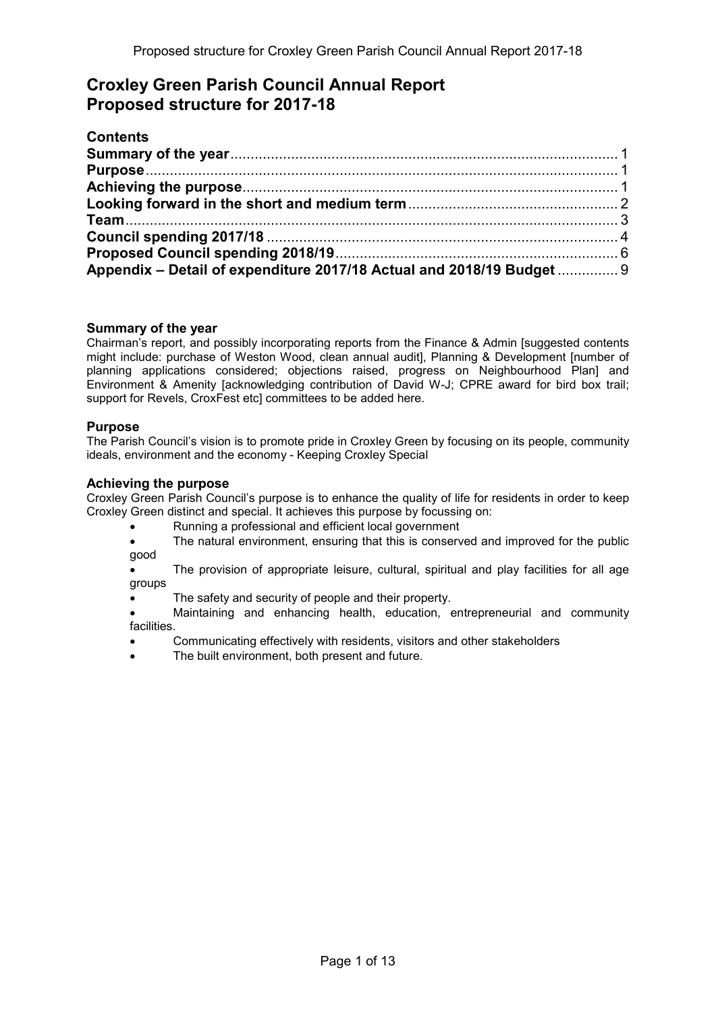# **Croxley Green Parish Council Annual Report Proposed structure for 2017-18**

| <b>Contents</b>                                                       |  |
|-----------------------------------------------------------------------|--|
|                                                                       |  |
|                                                                       |  |
|                                                                       |  |
|                                                                       |  |
|                                                                       |  |
|                                                                       |  |
|                                                                       |  |
| Appendix - Detail of expenditure 2017/18 Actual and 2018/19 Budget  9 |  |

#### **Summary of the year**

Chairman's report, and possibly incorporating reports from the Finance & Admin [suggested contents might include: purchase of Weston Wood, clean annual audit], Planning & Development [number of planning applications considered; objections raised, progress on Neighbourhood Plan] and Environment & Amenity [acknowledging contribution of David W-J; CPRE award for bird box trail; support for Revels, CroxFest etc] committees to be added here.

#### **Purpose**

The Parish Council's vision is to promote pride in Croxley Green by focusing on its people, community ideals, environment and the economy - Keeping Croxley Special

#### **Achieving the purpose**

Croxley Green Parish Council's purpose is to enhance the quality of life for residents in order to keep Croxley Green distinct and special. It achieves this purpose by focussing on:

- Running a professional and efficient local government
- The natural environment, ensuring that this is conserved and improved for the public good
- The provision of appropriate leisure, cultural, spiritual and play facilities for all age groups
- The safety and security of people and their property.
- Maintaining and enhancing health, education, entrepreneurial and community facilities.
- Communicating effectively with residents, visitors and other stakeholders
- The built environment, both present and future.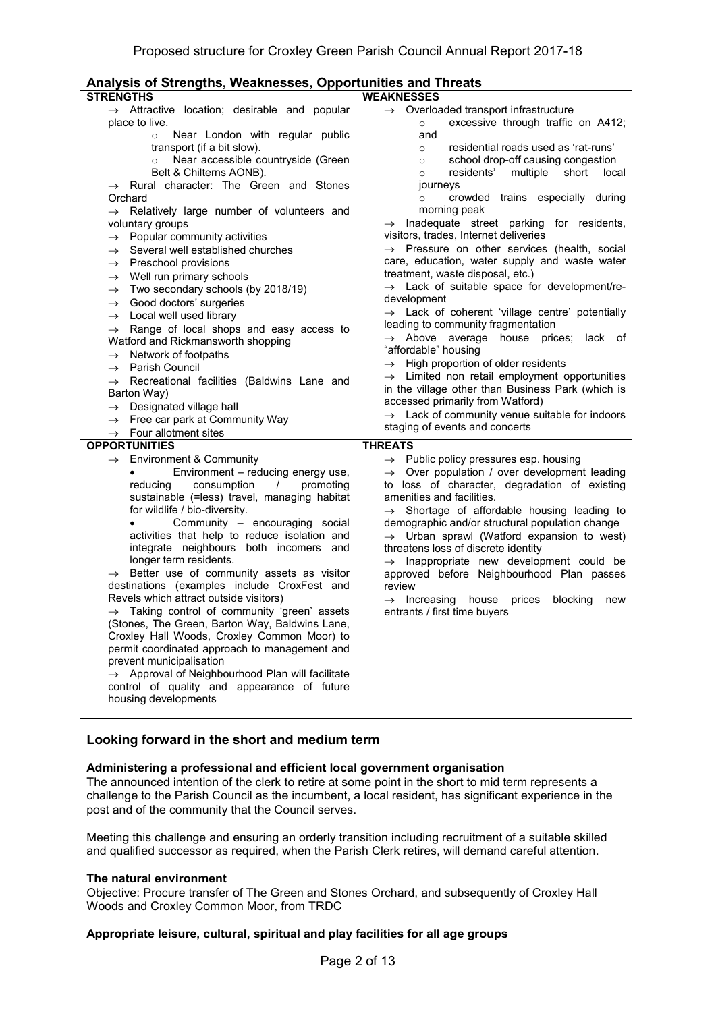| Analysis of Strengths, Weaknesses, Opportunities and Threats                             |                                                                                                           |  |
|------------------------------------------------------------------------------------------|-----------------------------------------------------------------------------------------------------------|--|
| <b>STRENGTHS</b>                                                                         | <b>WEAKNESSES</b>                                                                                         |  |
| $\rightarrow$ Attractive location; desirable and popular                                 | $\rightarrow$ Overloaded transport infrastructure                                                         |  |
| place to live.                                                                           | excessive through traffic on A412;<br>$\circ$                                                             |  |
| Near London with regular public<br>$\circ$                                               | and                                                                                                       |  |
| transport (if a bit slow).                                                               | residential roads used as 'rat-runs'<br>$\circ$                                                           |  |
| Near accessible countryside (Green<br>$\circ$                                            | school drop-off causing congestion<br>$\circ$                                                             |  |
| Belt & Chilterns AONB).                                                                  | residents'<br>multiple<br>short<br>local<br>$\circ$                                                       |  |
| $\rightarrow$ Rural character: The Green and Stones                                      | journeys                                                                                                  |  |
| Orchard                                                                                  | crowded trains especially during<br>$\circ$                                                               |  |
| $\rightarrow$ Relatively large number of volunteers and                                  | morning peak                                                                                              |  |
| voluntary groups                                                                         | $\rightarrow$ Inadequate street parking for residents,                                                    |  |
| Popular community activities<br>$\rightarrow$                                            | visitors, trades, Internet deliveries                                                                     |  |
| Several well established churches<br>$\rightarrow$                                       | $\rightarrow$ Pressure on other services (health, social                                                  |  |
| $\rightarrow$ Preschool provisions                                                       | care, education, water supply and waste water                                                             |  |
| Well run primary schools<br>$\rightarrow$                                                | treatment, waste disposal, etc.)                                                                          |  |
| Two secondary schools (by 2018/19)<br>$\rightarrow$                                      | $\rightarrow$ Lack of suitable space for development/re-<br>development                                   |  |
| $\rightarrow$ Good doctors' surgeries                                                    | $\rightarrow$ Lack of coherent 'village centre' potentially                                               |  |
| $\rightarrow$ Local well used library                                                    | leading to community fragmentation                                                                        |  |
| $\rightarrow$ Range of local shops and easy access to                                    | $\rightarrow$ Above average house prices; lack of                                                         |  |
| Watford and Rickmansworth shopping                                                       | "affordable" housing                                                                                      |  |
| Network of footpaths<br>$\rightarrow$                                                    | $\rightarrow$ High proportion of older residents                                                          |  |
| $\rightarrow$ Parish Council                                                             | $\rightarrow$ Limited non retail employment opportunities                                                 |  |
| $\rightarrow$ Recreational facilities (Baldwins Lane and                                 | in the village other than Business Park (which is                                                         |  |
| Barton Way)                                                                              | accessed primarily from Watford)                                                                          |  |
| $\rightarrow$ Designated village hall                                                    | $\rightarrow$ Lack of community venue suitable for indoors                                                |  |
| Free car park at Community Way<br>$\rightarrow$                                          | staging of events and concerts                                                                            |  |
| $\rightarrow$ Four allotment sites<br><b>OPPORTUNITIES</b>                               |                                                                                                           |  |
|                                                                                          | <b>THREATS</b>                                                                                            |  |
| $\rightarrow$ Environment & Community                                                    | $\rightarrow$ Public policy pressures esp. housing                                                        |  |
| Environment - reducing energy use,<br>consumption<br>reducing<br>$\sqrt{2}$<br>promoting | $\rightarrow$ Over population / over development leading<br>to loss of character, degradation of existing |  |
| sustainable (=less) travel, managing habitat                                             | amenities and facilities.                                                                                 |  |
| for wildlife / bio-diversity.                                                            | $\rightarrow$ Shortage of affordable housing leading to                                                   |  |
| Community - encouraging social                                                           | demographic and/or structural population change                                                           |  |
| activities that help to reduce isolation and                                             | $\rightarrow$ Urban sprawl (Watford expansion to west)                                                    |  |
| integrate neighbours both incomers and                                                   | threatens loss of discrete identity                                                                       |  |
| longer term residents.                                                                   | $\rightarrow$ Inappropriate new development could be                                                      |  |
| $\rightarrow$ Better use of community assets as visitor                                  | approved before Neighbourhood Plan passes                                                                 |  |
| destinations (examples include CroxFest and                                              | review                                                                                                    |  |
| Revels which attract outside visitors)                                                   | $\rightarrow$ Increasing<br>house<br>blocking<br>prices<br>new                                            |  |
| $\rightarrow$ Taking control of community 'green' assets                                 | entrants / first time buyers                                                                              |  |
| (Stones, The Green, Barton Way, Baldwins Lane,                                           |                                                                                                           |  |
| Croxley Hall Woods, Croxley Common Moor) to                                              |                                                                                                           |  |
| permit coordinated approach to management and                                            |                                                                                                           |  |
| prevent municipalisation                                                                 |                                                                                                           |  |
| $\rightarrow$ Approval of Neighbourhood Plan will facilitate                             |                                                                                                           |  |
| control of quality and appearance of future                                              |                                                                                                           |  |
| housing developments                                                                     |                                                                                                           |  |
|                                                                                          |                                                                                                           |  |

#### **Looking forward in the short and medium term**

#### **Administering a professional and efficient local government organisation**

The announced intention of the clerk to retire at some point in the short to mid term represents a challenge to the Parish Council as the incumbent, a local resident, has significant experience in the post and of the community that the Council serves.

Meeting this challenge and ensuring an orderly transition including recruitment of a suitable skilled and qualified successor as required, when the Parish Clerk retires, will demand careful attention.

#### **The natural environment**

Objective: Procure transfer of The Green and Stones Orchard, and subsequently of Croxley Hall Woods and Croxley Common Moor, from TRDC

#### **Appropriate leisure, cultural, spiritual and play facilities for all age groups**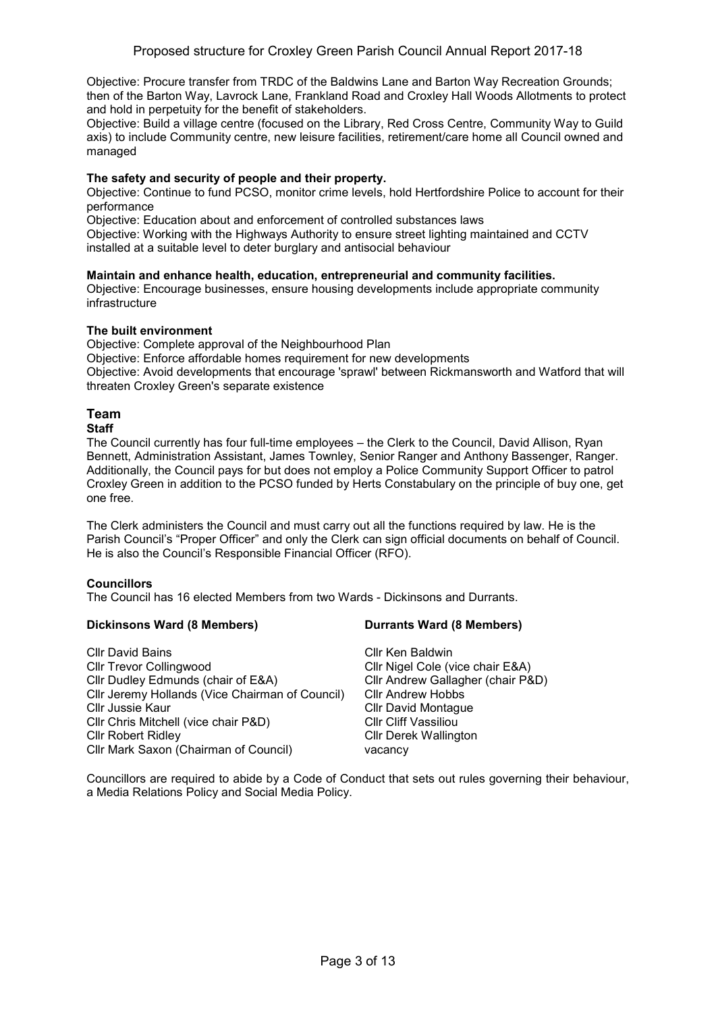Objective: Procure transfer from TRDC of the Baldwins Lane and Barton Way Recreation Grounds; then of the Barton Way, Lavrock Lane, Frankland Road and Croxley Hall Woods Allotments to protect and hold in perpetuity for the benefit of stakeholders.

Objective: Build a village centre (focused on the Library, Red Cross Centre, Community Way to Guild axis) to include Community centre, new leisure facilities, retirement/care home all Council owned and managed

#### **The safety and security of people and their property.**

Objective: Continue to fund PCSO, monitor crime levels, hold Hertfordshire Police to account for their performance

Objective: Education about and enforcement of controlled substances laws

Objective: Working with the Highways Authority to ensure street lighting maintained and CCTV installed at a suitable level to deter burglary and antisocial behaviour

#### **Maintain and enhance health, education, entrepreneurial and community facilities.**

Objective: Encourage businesses, ensure housing developments include appropriate community infrastructure

#### **The built environment**

Objective: Complete approval of the Neighbourhood Plan

Objective: Enforce affordable homes requirement for new developments

Objective: Avoid developments that encourage 'sprawl' between Rickmansworth and Watford that will threaten Croxley Green's separate existence

# **Team**

#### **Staff**

The Council currently has four full-time employees – the Clerk to the Council, David Allison, Ryan Bennett, Administration Assistant, James Townley, Senior Ranger and Anthony Bassenger, Ranger. Additionally, the Council pays for but does not employ a Police Community Support Officer to patrol Croxley Green in addition to the PCSO funded by Herts Constabulary on the principle of buy one, get one free.

The Clerk administers the Council and must carry out all the functions required by law. He is the Parish Council's "Proper Officer" and only the Clerk can sign official documents on behalf of Council. He is also the Council's Responsible Financial Officer (RFO).

#### **Councillors**

The Council has 16 elected Members from two Wards - Dickinsons and Durrants.

#### **Dickinsons Ward (8 Members) Durrants Ward (8 Members)**

| <b>CIIr David Bains</b>                         | Cllr Ken Baldwin                  |
|-------------------------------------------------|-----------------------------------|
| <b>CIIr Trevor Collingwood</b>                  | Cllr Nigel Cole (vice chair E&A)  |
| Cllr Dudley Edmunds (chair of E&A)              | Cllr Andrew Gallagher (chair P&D) |
| Cllr Jeremy Hollands (Vice Chairman of Council) | <b>Cllr Andrew Hobbs</b>          |
| Cllr Jussie Kaur                                | <b>CIIr David Montague</b>        |
| CIIr Chris Mitchell (vice chair P&D)            | <b>Cllr Cliff Vassiliou</b>       |
| <b>Cllr Robert Ridley</b>                       | <b>CIIr Derek Wallington</b>      |
| Cllr Mark Saxon (Chairman of Council)           | vacancy                           |
|                                                 |                                   |

Councillors are required to abide by a Code of Conduct that sets out rules governing their behaviour, a Media Relations Policy and Social Media Policy.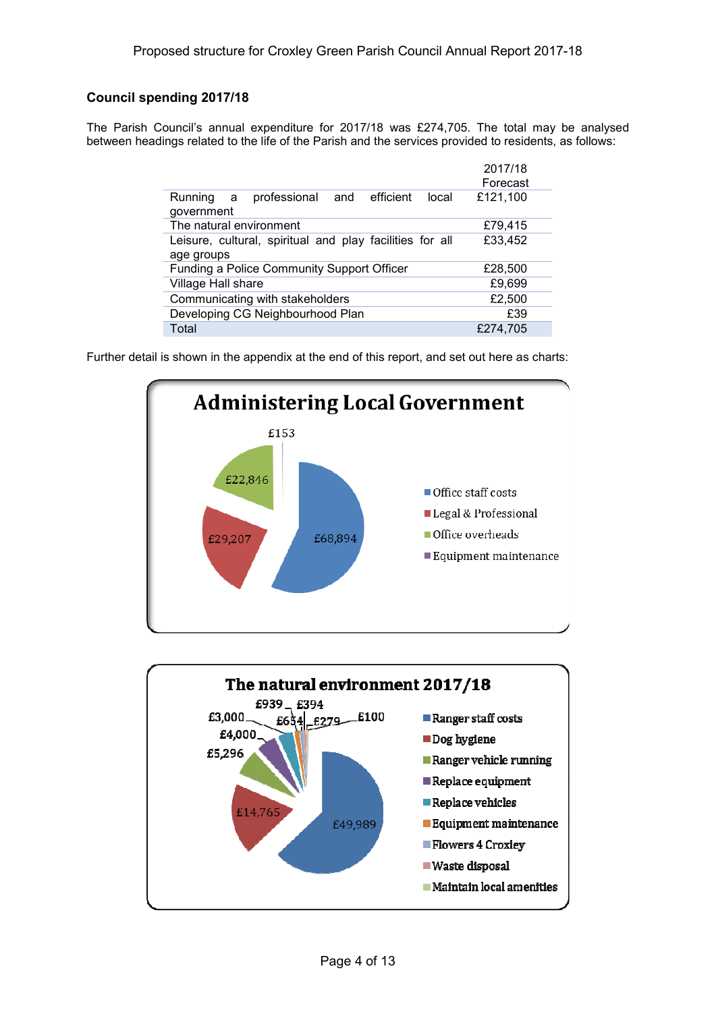### **Council spending 2017/18**

The Parish Council's annual expenditure for 2017/18 was £274,705. The total may be analysed between headings related to the life of the Parish and the services provided to residents, as follows:

|                                                                   | 2017/18  |
|-------------------------------------------------------------------|----------|
|                                                                   | Forecast |
| professional and efficient<br>Running<br>local<br>a<br>government | £121,100 |
| The natural environment                                           | £79,415  |
| Leisure, cultural, spiritual and play facilities for all          | £33,452  |
| age groups                                                        |          |
| <b>Funding a Police Community Support Officer</b>                 | £28,500  |
| Village Hall share                                                | £9,699   |
| Communicating with stakeholders                                   | £2,500   |
| Developing CG Neighbourhood Plan                                  | £39      |
| Total                                                             | £274,705 |
|                                                                   |          |

Further detail is shown in the appendix at the end of this report, and set out here as charts:



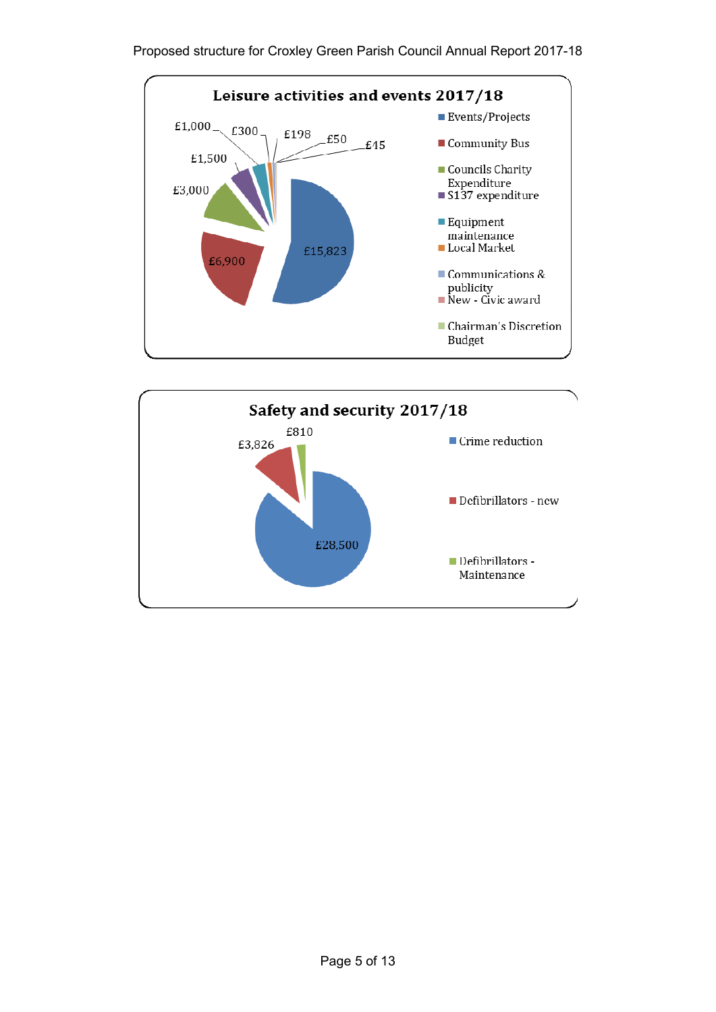

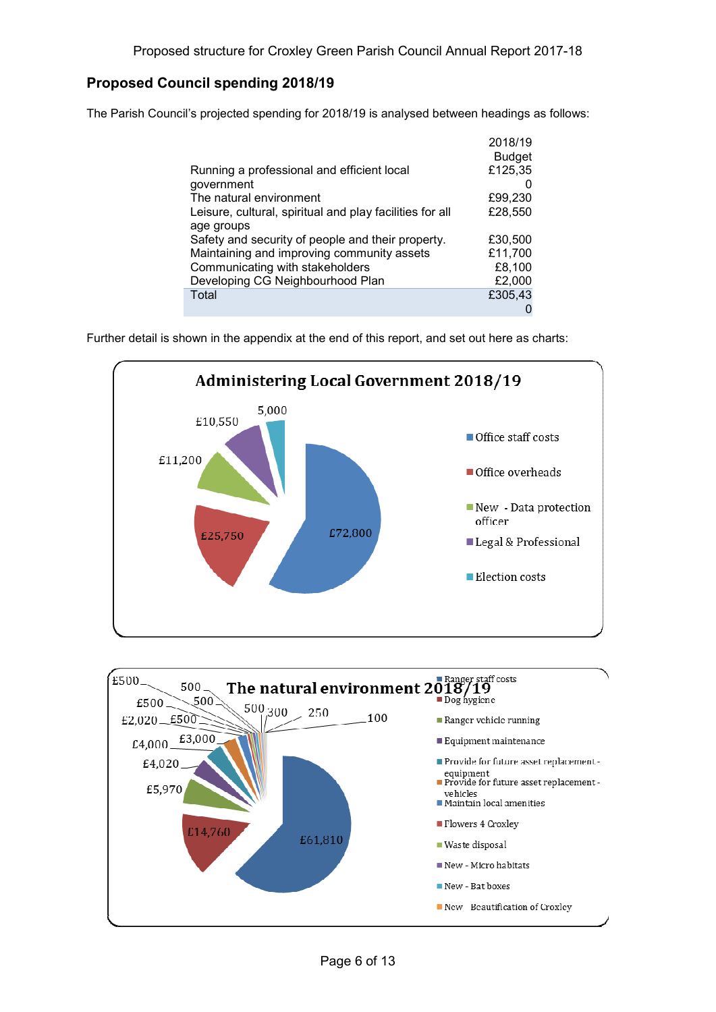## **Proposed Council spending 2018/19**

The Parish Council's projected spending for 2018/19 is analysed between headings as follows:

| Running a professional and efficient local               | 2018/19<br><b>Budget</b><br>£125,35 |
|----------------------------------------------------------|-------------------------------------|
| government                                               |                                     |
| The natural environment                                  | £99,230                             |
| Leisure, cultural, spiritual and play facilities for all | £28,550                             |
| age groups                                               |                                     |
| Safety and security of people and their property.        | £30,500                             |
| Maintaining and improving community assets               | £11,700                             |
| Communicating with stakeholders                          | £8,100                              |
| Developing CG Neighbourhood Plan                         | £2,000                              |
| Total                                                    | £305,43                             |
|                                                          |                                     |

Further detail is shown in the appendix at the end of this report, and set out here as charts:



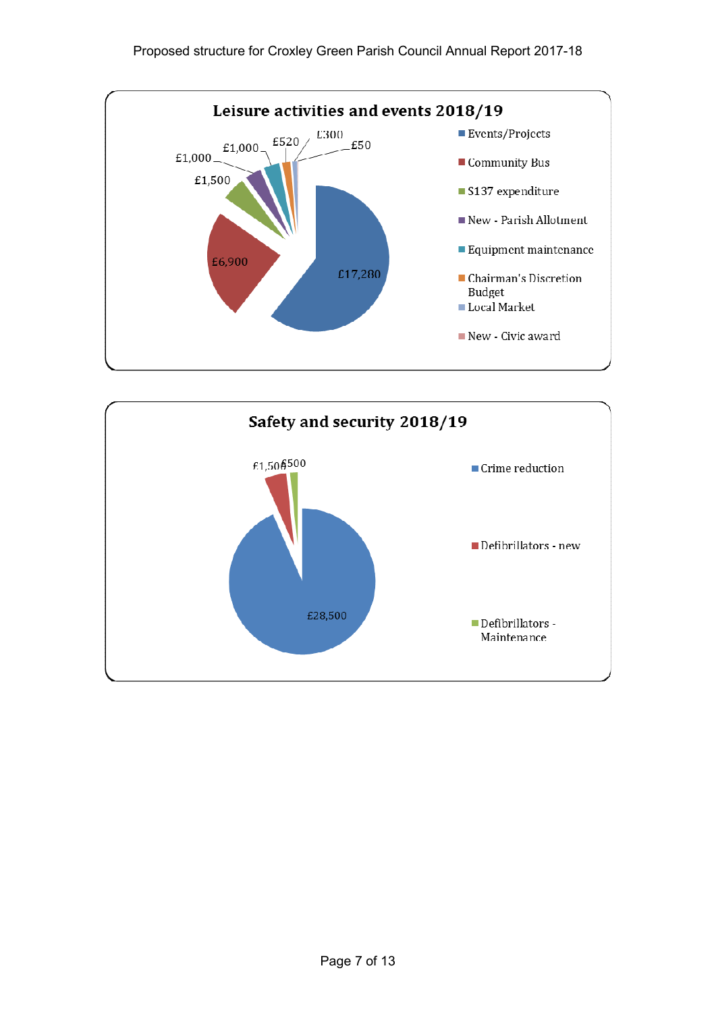

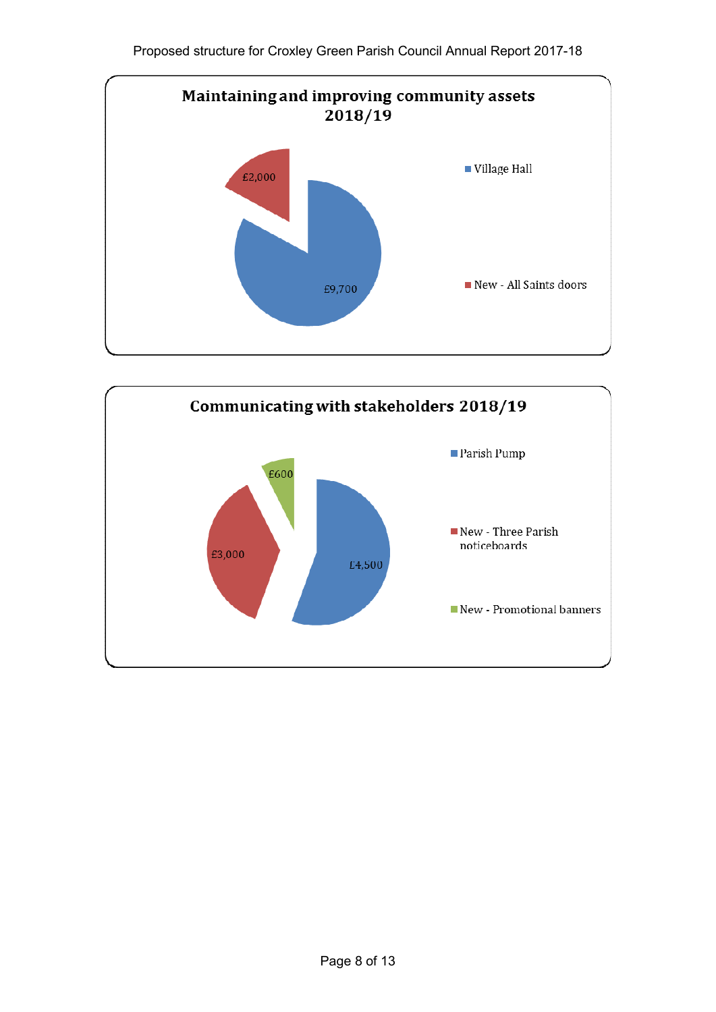

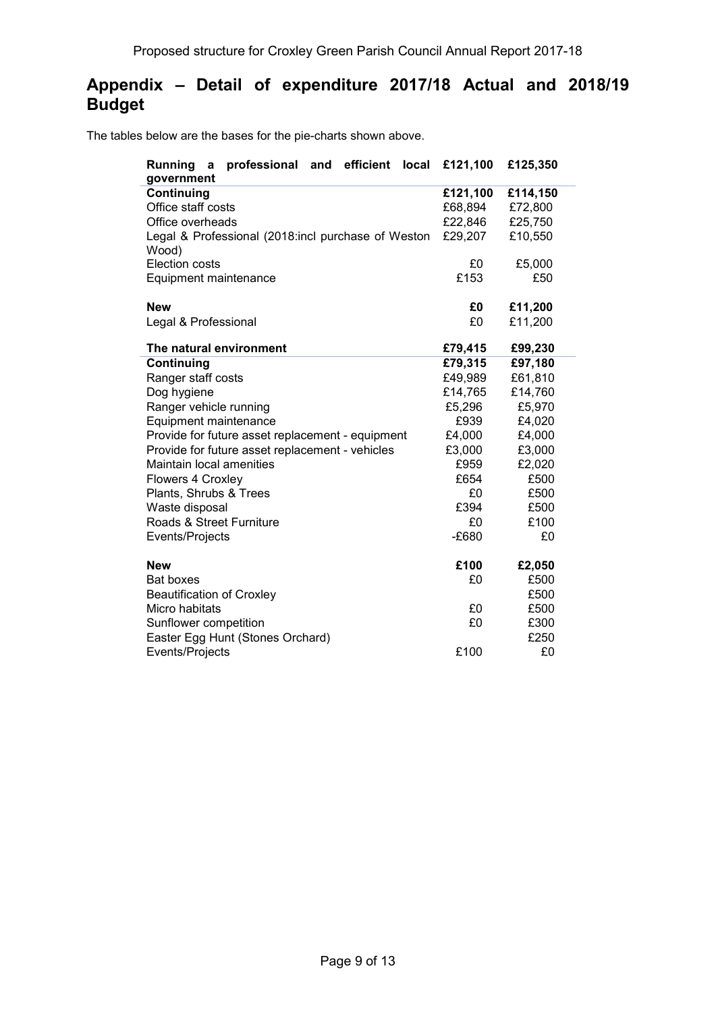# **Appendix – Detail of expenditure 2017/18 Actual and 2018/19 Budget**

The tables below are the bases for the pie-charts shown above.

| efficient<br>Running<br>professional<br>and<br>local<br>a<br>government | £121,100 | £125,350 |
|-------------------------------------------------------------------------|----------|----------|
| Continuing                                                              | £121,100 | £114,150 |
| Office staff costs                                                      | £68,894  | £72,800  |
| Office overheads                                                        | £22,846  | £25,750  |
| Legal & Professional (2018:incl purchase of Weston                      | £29,207  | £10,550  |
| Wood)                                                                   |          |          |
| <b>Election costs</b>                                                   | £0       | £5,000   |
| Equipment maintenance                                                   | £153     | £50      |
|                                                                         |          |          |
| <b>New</b>                                                              | £0       | £11,200  |
| Legal & Professional                                                    | £0       | £11,200  |
|                                                                         |          |          |
| The natural environment                                                 | £79,415  | £99,230  |
| Continuing                                                              | £79,315  | £97,180  |
| Ranger staff costs                                                      | £49,989  | £61,810  |
| Dog hygiene                                                             | £14,765  | £14,760  |
| Ranger vehicle running                                                  | £5,296   | £5,970   |
| Equipment maintenance                                                   | £939     | £4,020   |
| Provide for future asset replacement - equipment                        | £4,000   | £4,000   |
| Provide for future asset replacement - vehicles                         | £3,000   | £3,000   |
| Maintain local amenities                                                | £959     | £2,020   |
| Flowers 4 Croxley                                                       | £654     | £500     |
| Plants, Shrubs & Trees                                                  | £0       | £500     |
| Waste disposal                                                          | £394     | £500     |
| Roads & Street Furniture                                                | £0       | £100     |
| Events/Projects                                                         | $-E680$  | £0       |
| <b>New</b>                                                              | £100     | £2,050   |
| <b>Bat boxes</b>                                                        | £0       | £500     |
| <b>Beautification of Croxley</b>                                        |          | £500     |
| Micro habitats                                                          | £0       | £500     |
| Sunflower competition                                                   | £0       | £300     |
| Easter Egg Hunt (Stones Orchard)                                        |          | £250     |
| Events/Projects                                                         | £100     | £0       |